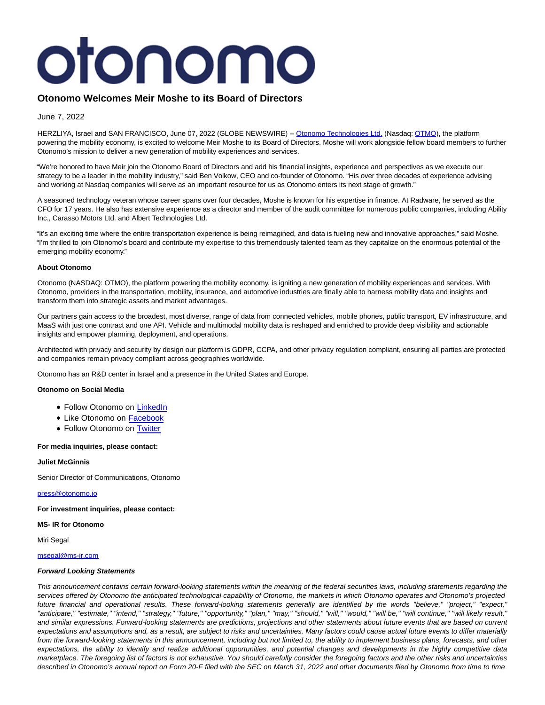# otonomo

# **Otonomo Welcomes Meir Moshe to its Board of Directors**

June 7, 2022

HERZLIYA, Israel and SAN FRANCISCO, June 07, 2022 (GLOBE NEWSWIRE) -- [Otonomo Technologies Ltd. \(](https://www.globenewswire.com/Tracker?data=pVoajeGDAOyFI9oQiAtHKJu9K410dYS72PGfR0m5-b4NDKml8Wug70zQ0a6IK0y5JKu2BfCuyQlFHWCpmsHk-uErkANc97s-mrhQUzeVwwg=)Nasdaq[: OTMO\),](https://www.globenewswire.com/Tracker?data=O8S4MJJ-WNJxx_KN7mpgO1iCds-aA-fU1R6BhOiWuy48V47IdGoixcyP8F1qu76-BBJlWud8bLb-3975cup0Mw==) the platform powering the mobility economy, is excited to welcome Meir Moshe to its Board of Directors. Moshe will work alongside fellow board members to further Otonomo's mission to deliver a new generation of mobility experiences and services.

"We're honored to have Meir join the Otonomo Board of Directors and add his financial insights, experience and perspectives as we execute our strategy to be a leader in the mobility industry," said Ben Volkow, CEO and co-founder of Otonomo. "His over three decades of experience advising and working at Nasdaq companies will serve as an important resource for us as Otonomo enters its next stage of growth."

A seasoned technology veteran whose career spans over four decades, Moshe is known for his expertise in finance. At Radware, he served as the CFO for 17 years. He also has extensive experience as a director and member of the audit committee for numerous public companies, including Ability Inc., Carasso Motors Ltd. and Albert Technologies Ltd.

"It's an exciting time where the entire transportation experience is being reimagined, and data is fueling new and innovative approaches," said Moshe. "I'm thrilled to join Otonomo's board and contribute my expertise to this tremendously talented team as they capitalize on the enormous potential of the emerging mobility economy."

## **About Otonomo**

Otonomo (NASDAQ: OTMO), the platform powering the mobility economy, is igniting a new generation of mobility experiences and services. With Otonomo, providers in the transportation, mobility, insurance, and automotive industries are finally able to harness mobility data and insights and transform them into strategic assets and market advantages.

Our partners gain access to the broadest, most diverse, range of data from connected vehicles, mobile phones, public transport, EV infrastructure, and MaaS with just one contract and one API. Vehicle and multimodal mobility data is reshaped and enriched to provide deep visibility and actionable insights and empower planning, deployment, and operations.

Architected with privacy and security by design our platform is GDPR, CCPA, and other privacy regulation compliant, ensuring all parties are protected and companies remain privacy compliant across geographies worldwide.

Otonomo has an R&D center in Israel and a presence in the United States and Europe.

## **Otonomo on Social Media**

- Follow Otonomo on [LinkedIn](https://www.linkedin.com/company/otonomo)
- Like Otonomo on [Facebook](https://www.facebook.com/otonomo.io)
- Follow Otonomo on [Twitter](https://twitter.com/otonomo_)

## **For media inquiries, please contact:**

## **Juliet McGinnis**

Senior Director of Communications, Otonomo

## [press@otonomo.io](https://www.globenewswire.com/Tracker?data=jIzFVIg3T9LUCkMNhkP0yTkxUSnlmOJuNmx8GAAJ5FckAvVALdWOvNpRfmHghhmlo49esqlwpW7nrUJ57YjzOg==)

## **For investment inquiries, please contact:**

**MS- IR for Otonomo**

Miri Segal

[msegal@ms-ir.com](https://www.globenewswire.com/Tracker?data=PJAmgqlCF3_Uqd_FxOSXZMqN6Npu0NV5UOpd7cVW3Dbu-d_Yx8rBuh-580oXWdxHaePM3YHHgnt2MPtEICybVw==)

## **Forward Looking Statements**

This announcement contains certain forward-looking statements within the meaning of the federal securities laws, including statements regarding the services offered by Otonomo the anticipated technological capability of Otonomo, the markets in which Otonomo operates and Otonomo's projected future financial and operational results. These forward-looking statements generally are identified by the words "believe," "project," "expect," "anticipate," "estimate," "intend," "strategy," "future," "opportunity," "plan," "may," "should," "will," "would," "will be," "will continue," "will likely result," and similar expressions. Forward-looking statements are predictions, projections and other statements about future events that are based on current expectations and assumptions and, as a result, are subject to risks and uncertainties. Many factors could cause actual future events to differ materially from the forward-looking statements in this announcement, including but not limited to, the ability to implement business plans, forecasts, and other expectations, the ability to identify and realize additional opportunities, and potential changes and developments in the highly competitive data marketplace. The foregoing list of factors is not exhaustive. You should carefully consider the foregoing factors and the other risks and uncertainties described in Otonomo's annual report on Form 20-F filed with the SEC on March 31, 2022 and other documents filed by Otonomo from time to time